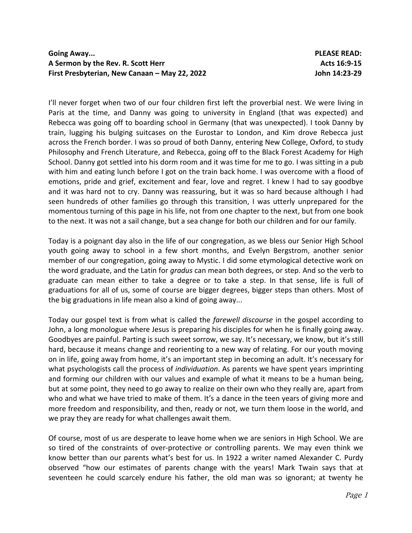## **Going Away... PLEASE READ:** A Sermon by the Rev. R. Scott Herr **Acts 16:9-15** Acts 16:9-15 **First Presbyterian, New Canaan – May 22, 2022 John 14:23-29**

I'll never forget when two of our four children first left the proverbial nest. We were living in Paris at the time, and Danny was going to university in England (that was expected) and Rebecca was going off to boarding school in Germany (that was unexpected). I took Danny by train, lugging his bulging suitcases on the Eurostar to London, and Kim drove Rebecca just across the French border. I was so proud of both Danny, entering New College, Oxford, to study Philosophy and French Literature, and Rebecca, going off to the Black Forest Academy for High School. Danny got settled into his dorm room and it was time for me to go. I was sitting in a pub with him and eating lunch before I got on the train back home. I was overcome with a flood of emotions, pride and grief, excitement and fear, love and regret. I knew I had to say goodbye and it was hard not to cry. Danny was reassuring, but it was so hard because although I had seen hundreds of other families go through this transition, I was utterly unprepared for the momentous turning of this page in his life, not from one chapter to the next, but from one book to the next. It was not a sail change, but a sea change for both our children and for our family.

Today is a poignant day also in the life of our congregation, as we bless our Senior High School youth going away to school in a few short months, and Evelyn Bergstrom, another senior member of our congregation, going away to Mystic. I did some etymological detective work on the word graduate, and the Latin for *gradus* can mean both degrees, or step. And so the verb to graduate can mean either to take a degree or to take a step. In that sense, life is full of graduations for all of us, some of course are bigger degrees, bigger steps than others. Most of the big graduations in life mean also a kind of going away...

Today our gospel text is from what is called the *farewell discourse* in the gospel according to John, a long monologue where Jesus is preparing his disciples for when he is finally going away. Goodbyes are painful. Parting is such sweet sorrow, we say. It's necessary, we know, but it's still hard, because it means change and reorienting to a new way of relating. For our youth moving on in life, going away from home, it's an important step in becoming an adult. It's necessary for what psychologists call the process of *individuation*. As parents we have spent years imprinting and forming our children with our values and example of what it means to be a human being, but at some point, they need to go away to realize on their own who they really are, apart from who and what we have tried to make of them. It's a dance in the teen years of giving more and more freedom and responsibility, and then, ready or not, we turn them loose in the world, and we pray they are ready for what challenges await them.

Of course, most of us are desperate to leave home when we are seniors in High School. We are so tired of the constraints of over-protective or controlling parents. We may even think we know better than our parents what's best for us. In 1922 a writer named Alexander C. Purdy observed "how our estimates of parents change with the years! Mark Twain says that at seventeen he could scarcely endure his father, the old man was so ignorant; at twenty he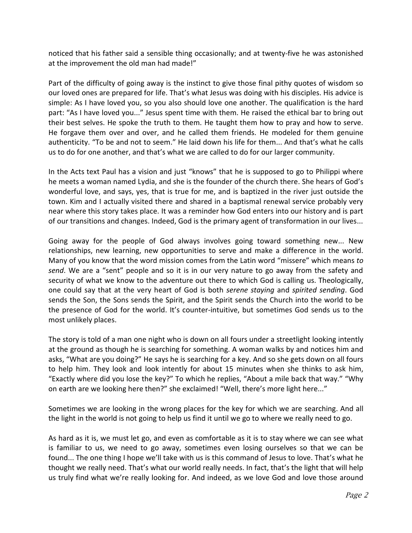noticed that his father said a sensible thing occasionally; and at twenty-five he was astonished at the improvement the old man had made!"

Part of the difficulty of going away is the instinct to give those final pithy quotes of wisdom so our loved ones are prepared for life. That's what Jesus was doing with his disciples. His advice is simple: As I have loved you, so you also should love one another. The qualification is the hard part: "As I have loved you..." Jesus spent time with them. He raised the ethical bar to bring out their best selves. He spoke the truth to them. He taught them how to pray and how to serve. He forgave them over and over, and he called them friends. He modeled for them genuine authenticity. "To be and not to seem." He laid down his life for them... And that's what he calls us to do for one another, and that's what we are called to do for our larger community.

In the Acts text Paul has a vision and just "knows" that he is supposed to go to Philippi where he meets a woman named Lydia, and she is the founder of the church there. She hears of God's wonderful love, and says, yes, that is true for me, and is baptized in the river just outside the town. Kim and I actually visited there and shared in a baptismal renewal service probably very near where this story takes place. It was a reminder how God enters into our history and is part of our transitions and changes. Indeed, God is the primary agent of transformation in our lives...

Going away for the people of God always involves going toward something new... New relationships, new learning, new opportunities to serve and make a difference in the world. Many of you know that the word mission comes from the Latin word "missere" which means *to send*. We are a "sent" people and so it is in our very nature to go away from the safety and security of what we know to the adventure out there to which God is calling us. Theologically, one could say that at the very heart of God is both *serene staying* and *spirited sending*. God sends the Son, the Sons sends the Spirit, and the Spirit sends the Church into the world to be the presence of God for the world. It's counter-intuitive, but sometimes God sends us to the most unlikely places.

The story is told of a man one night who is down on all fours under a streetlight looking intently at the ground as though he is searching for something. A woman walks by and notices him and asks, "What are you doing?" He says he is searching for a key. And so she gets down on all fours to help him. They look and look intently for about 15 minutes when she thinks to ask him, "Exactly where did you lose the key?" To which he replies, "About a mile back that way." "Why on earth are we looking here then?" she exclaimed! "Well, there's more light here..."

Sometimes we are looking in the wrong places for the key for which we are searching. And all the light in the world is not going to help us find it until we go to where we really need to go.

As hard as it is, we must let go, and even as comfortable as it is to stay where we can see what is familiar to us, we need to go away, sometimes even losing ourselves so that we can be found... The one thing I hope we'll take with us is this command of Jesus to love. That's what he thought we really need. That's what our world really needs. In fact, that's the light that will help us truly find what we're really looking for. And indeed, as we love God and love those around